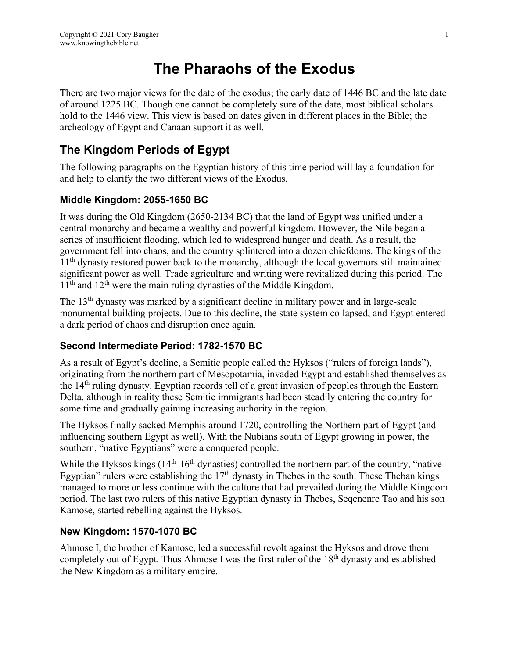# **The Pharaohs of the Exodus**

There are two major views for the date of the exodus; the early date of 1446 BC and the late date of around 1225 BC. Though one cannot be completely sure of the date, most biblical scholars hold to the 1446 view. This view is based on dates given in different places in the Bible; the archeology of Egypt and Canaan support it as well.

# **The Kingdom Periods of Egypt**

The following paragraphs on the Egyptian history of this time period will lay a foundation for and help to clarify the two different views of the Exodus.

#### **Middle Kingdom: 2055-1650 BC**

It was during the Old Kingdom (2650-2134 BC) that the land of Egypt was unified under a central monarchy and became a wealthy and powerful kingdom. However, the Nile began a series of insufficient flooding, which led to widespread hunger and death. As a result, the government fell into chaos, and the country splintered into a dozen chiefdoms. The kings of the 11<sup>th</sup> dynasty restored power back to the monarchy, although the local governors still maintained significant power as well. Trade agriculture and writing were revitalized during this period. The  $11<sup>th</sup>$  and  $12<sup>th</sup>$  were the main ruling dynasties of the Middle Kingdom.

The 13<sup>th</sup> dynasty was marked by a significant decline in military power and in large-scale monumental building projects. Due to this decline, the state system collapsed, and Egypt entered a dark period of chaos and disruption once again.

#### **Second Intermediate Period: 1782-1570 BC**

As a result of Egypt's decline, a Semitic people called the Hyksos ("rulers of foreign lands"), originating from the northern part of Mesopotamia, invaded Egypt and established themselves as the 14th ruling dynasty. Egyptian records tell of a great invasion of peoples through the Eastern Delta, although in reality these Semitic immigrants had been steadily entering the country for some time and gradually gaining increasing authority in the region.

The Hyksos finally sacked Memphis around 1720, controlling the Northern part of Egypt (and influencing southern Egypt as well). With the Nubians south of Egypt growing in power, the southern, "native Egyptians" were a conquered people.

While the Hyksos kings  $(14<sup>th</sup>-16<sup>th</sup>$  dynasties) controlled the northern part of the country, "native Egyptian" rulers were establishing the  $17<sup>th</sup>$  dynasty in Thebes in the south. These Theban kings managed to more or less continue with the culture that had prevailed during the Middle Kingdom period. The last two rulers of this native Egyptian dynasty in Thebes, Seqenenre Tao and his son Kamose, started rebelling against the Hyksos.

#### **New Kingdom: 1570-1070 BC**

Ahmose I, the brother of Kamose, led a successful revolt against the Hyksos and drove them completely out of Egypt. Thus Ahmose I was the first ruler of the  $18<sup>th</sup>$  dynasty and established the New Kingdom as a military empire.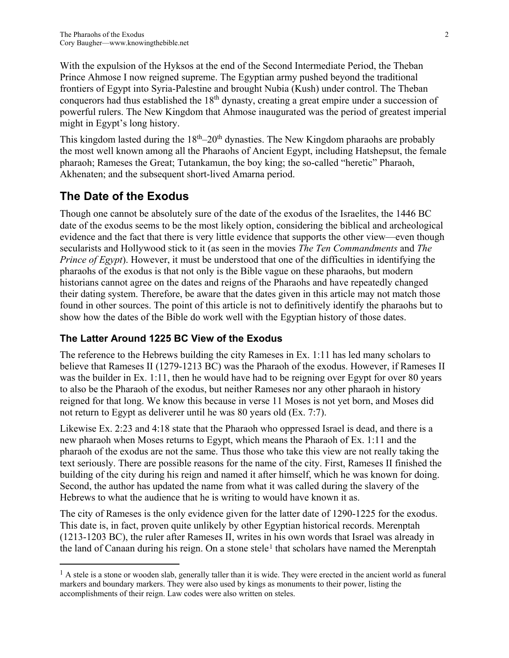With the expulsion of the Hyksos at the end of the Second Intermediate Period, the Theban Prince Ahmose I now reigned supreme. The Egyptian army pushed beyond the traditional frontiers of Egypt into Syria-Palestine and brought Nubia (Kush) under control. The Theban conquerors had thus established the  $18<sup>th</sup>$  dynasty, creating a great empire under a succession of powerful rulers. The New Kingdom that Ahmose inaugurated was the period of greatest imperial might in Egypt's long history.

This kingdom lasted during the  $18<sup>th</sup>-20<sup>th</sup>$  dynasties. The New Kingdom pharaohs are probably the most well known among all the Pharaohs of Ancient Egypt, including Hatshepsut, the female pharaoh; Rameses the Great; Tutankamun, the boy king; the so-called "heretic" Pharaoh, Akhenaten; and the subsequent short-lived Amarna period.

# **The Date of the Exodus**

 $\overline{a}$ 

Though one cannot be absolutely sure of the date of the exodus of the Israelites, the 1446 BC date of the exodus seems to be the most likely option, considering the biblical and archeological evidence and the fact that there is very little evidence that supports the other view—even though secularists and Hollywood stick to it (as seen in the movies *The Ten Commandments* and *The Prince of Egypt*). However, it must be understood that one of the difficulties in identifying the pharaohs of the exodus is that not only is the Bible vague on these pharaohs, but modern historians cannot agree on the dates and reigns of the Pharaohs and have repeatedly changed their dating system. Therefore, be aware that the dates given in this article may not match those found in other sources. The point of this article is not to definitively identify the pharaohs but to show how the dates of the Bible do work well with the Egyptian history of those dates.

#### **The Latter Around 1225 BC View of the Exodus**

The reference to the Hebrews building the city Rameses in Ex. 1:11 has led many scholars to believe that Rameses II (1279-1213 BC) was the Pharaoh of the exodus. However, if Rameses II was the builder in Ex. 1:11, then he would have had to be reigning over Egypt for over 80 years to also be the Pharaoh of the exodus, but neither Rameses nor any other pharaoh in history reigned for that long. We know this because in verse 11 Moses is not yet born, and Moses did not return to Egypt as deliverer until he was 80 years old (Ex. 7:7).

Likewise Ex. 2:23 and 4:18 state that the Pharaoh who oppressed Israel is dead, and there is a new pharaoh when Moses returns to Egypt, which means the Pharaoh of Ex. 1:11 and the pharaoh of the exodus are not the same. Thus those who take this view are not really taking the text seriously. There are possible reasons for the name of the city. First, Rameses II finished the building of the city during his reign and named it after himself, which he was known for doing. Second, the author has updated the name from what it was called during the slavery of the Hebrews to what the audience that he is writing to would have known it as.

The city of Rameses is the only evidence given for the latter date of 1290-1225 for the exodus. This date is, in fact, proven quite unlikely by other Egyptian historical records. Merenptah (1213-1203 BC), the ruler after Rameses II, writes in his own words that Israel was already in the land of Canaan during his reign. On a stone stele<sup>[1](#page-1-0)</sup> that scholars have named the Merenptah

<span id="page-1-0"></span> $<sup>1</sup>$  A stele is a stone or wooden slab, generally taller than it is wide. They were erected in the ancient world as funeral</sup> markers and boundary markers. They were also used by kings as monuments to their power, listing the accomplishments of their reign. Law codes were also written on steles.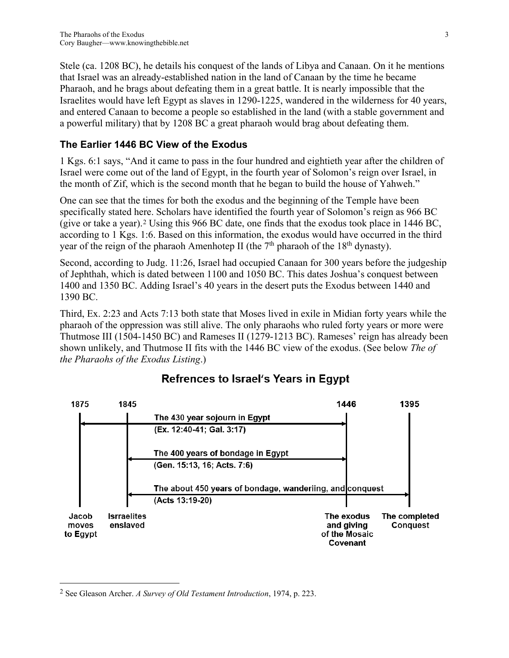Stele (ca. 1208 BC), he details his conquest of the lands of Libya and Canaan. On it he mentions that Israel was an already-established nation in the land of Canaan by the time he became Pharaoh, and he brags about defeating them in a great battle. It is nearly impossible that the Israelites would have left Egypt as slaves in 1290-1225, wandered in the wilderness for 40 years, and entered Canaan to become a people so established in the land (with a stable government and a powerful military) that by 1208 BC a great pharaoh would brag about defeating them.

#### **The Earlier 1446 BC View of the Exodus**

1 Kgs. 6:1 says, "And it came to pass in the four hundred and eightieth year after the children of Israel were come out of the land of Egypt, in the fourth year of Solomon's reign over Israel, in the month of Zif, which is the second month that he began to build the house of Yahweh."

One can see that the times for both the exodus and the beginning of the Temple have been specifically stated here. Scholars have identified the fourth year of Solomon's reign as 966 BC (give or take a year).[2](#page-2-0) Using this 966 BC date, one finds that the exodus took place in 1446 BC, according to 1 Kgs. 1:6. Based on this information, the exodus would have occurred in the third year of the reign of the pharaoh Amenhotep II (the  $7<sup>th</sup>$  pharaoh of the 18<sup>th</sup> dynasty).

Second, according to Judg. 11:26, Israel had occupied Canaan for 300 years before the judgeship of Jephthah, which is dated between 1100 and 1050 BC. This dates Joshua's conquest between 1400 and 1350 BC. Adding Israel's 40 years in the desert puts the Exodus between 1440 and 1390 BC.

Third, Ex. 2:23 and Acts 7:13 both state that Moses lived in exile in Midian forty years while the pharaoh of the oppression was still alive. The only pharaohs who ruled forty years or more were Thutmose III (1504-1450 BC) and Rameses II (1279-1213 BC). Rameses' reign has already been shown unlikely, and Thutmose II fits with the 1446 BC view of the exodus. (See below *The of the Pharaohs of the Exodus Listing*.)



# **Refrences to Israel's Years in Egypt**

 $\overline{a}$ 

<span id="page-2-0"></span><sup>2</sup> See Gleason Archer. *A Survey of Old Testament Introduction*, 1974, p. 223.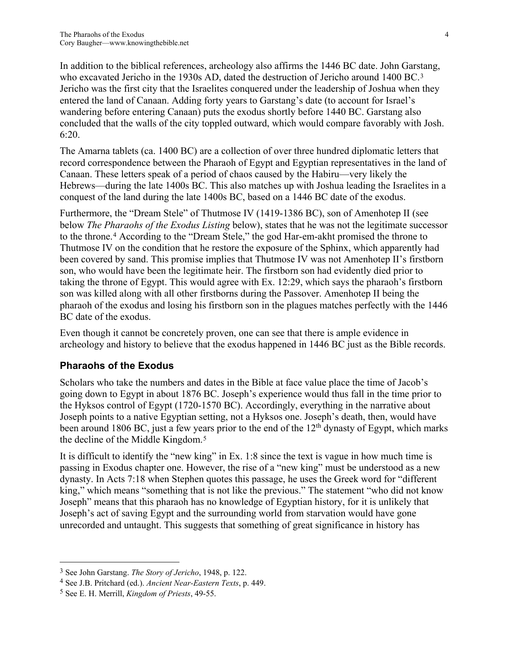In addition to the biblical references, archeology also affirms the 1446 BC date. John Garstang, who excavated Jericho in the 19[3](#page-3-0)0s AD, dated the destruction of Jericho around 1400 BC.<sup>3</sup> Jericho was the first city that the Israelites conquered under the leadership of Joshua when they entered the land of Canaan. Adding forty years to Garstang's date (to account for Israel's wandering before entering Canaan) puts the exodus shortly before 1440 BC. Garstang also concluded that the walls of the city toppled outward, which would compare favorably with Josh. 6:20.

The Amarna tablets (ca. 1400 BC) are a collection of over three hundred diplomatic letters that record correspondence between the Pharaoh of Egypt and Egyptian representatives in the land of Canaan. These letters speak of a period of chaos caused by the Habiru—very likely the Hebrews—during the late 1400s BC. This also matches up with Joshua leading the Israelites in a conquest of the land during the late 1400s BC, based on a 1446 BC date of the exodus.

Furthermore, the "Dream Stele" of Thutmose IV (1419-1386 BC), son of Amenhotep II (see below *The Pharaohs of the Exodus Listing* below), states that he was not the legitimate successor to the throne.[4](#page-3-1) According to the "Dream Stele," the god Har-em-akht promised the throne to Thutmose IV on the condition that he restore the exposure of the Sphinx, which apparently had been covered by sand. This promise implies that Thutmose IV was not Amenhotep II's firstborn son, who would have been the legitimate heir. The firstborn son had evidently died prior to taking the throne of Egypt. This would agree with Ex. 12:29, which says the pharaoh's firstborn son was killed along with all other firstborns during the Passover. Amenhotep II being the pharaoh of the exodus and losing his firstborn son in the plagues matches perfectly with the 1446 BC date of the exodus.

Even though it cannot be concretely proven, one can see that there is ample evidence in archeology and history to believe that the exodus happened in 1446 BC just as the Bible records.

#### **Pharaohs of the Exodus**

Scholars who take the numbers and dates in the Bible at face value place the time of Jacob's going down to Egypt in about 1876 BC. Joseph's experience would thus fall in the time prior to the Hyksos control of Egypt (1720-1570 BC). Accordingly, everything in the narrative about Joseph points to a native Egyptian setting, not a Hyksos one. Joseph's death, then, would have been around 1806 BC, just a few years prior to the end of the  $12<sup>th</sup>$  dynasty of Egypt, which marks the decline of the Middle Kingdom.[5](#page-3-2)

It is difficult to identify the "new king" in Ex. 1:8 since the text is vague in how much time is passing in Exodus chapter one. However, the rise of a "new king" must be understood as a new dynasty. In Acts 7:18 when Stephen quotes this passage, he uses the Greek word for "different king," which means "something that is not like the previous." The statement "who did not know Joseph" means that this pharaoh has no knowledge of Egyptian history, for it is unlikely that Joseph's act of saving Egypt and the surrounding world from starvation would have gone unrecorded and untaught. This suggests that something of great significance in history has

 $\overline{a}$ 

<span id="page-3-0"></span><sup>3</sup> See John Garstang. *The Story of Jericho*, 1948, p. 122. 4 See J.B. Pritchard (ed.). *Ancient Near-Eastern Texts*, p. 449.

<span id="page-3-1"></span>

<span id="page-3-2"></span><sup>5</sup> See E. H. Merrill, *Kingdom of Priests*, 49-55.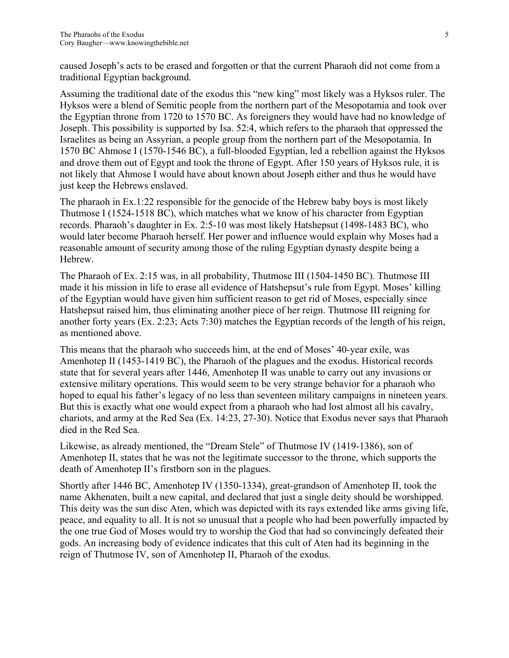caused Joseph's acts to be erased and forgotten or that the current Pharaoh did not come from a traditional Egyptian background.

Assuming the traditional date of the exodus this "new king" most likely was a Hyksos ruler. The Hyksos were a blend of Semitic people from the northern part of the Mesopotamia and took over the Egyptian throne from 1720 to 1570 BC. As foreigners they would have had no knowledge of Joseph. This possibility is supported by Isa. 52:4, which refers to the pharaoh that oppressed the Israelites as being an Assyrian, a people group from the northern part of the Mesopotamia. In 1570 BC Ahmose I (1570-1546 BC), a full-blooded Egyptian, led a rebellion against the Hyksos and drove them out of Egypt and took the throne of Egypt. After 150 years of Hyksos rule, it is not likely that Ahmose I would have about known about Joseph either and thus he would have just keep the Hebrews enslaved.

The pharaoh in Ex.1:22 responsible for the genocide of the Hebrew baby boys is most likely Thutmose I (1524-1518 BC), which matches what we know of his character from Egyptian records. Pharaoh's daughter in Ex. 2:5-10 was most likely Hatshepsut (1498-1483 BC), who would later become Pharaoh herself. Her power and influence would explain why Moses had a reasonable amount of security among those of the ruling Egyptian dynasty despite being a Hebrew.

The Pharaoh of Ex. 2:15 was, in all probability, Thutmose III (1504-1450 BC). Thutmose III made it his mission in life to erase all evidence of Hatshepsut's rule from Egypt. Moses' killing of the Egyptian would have given him sufficient reason to get rid of Moses, especially since Hatshepsut raised him, thus eliminating another piece of her reign. Thutmose III reigning for another forty years (Ex. 2:23; Acts 7:30) matches the Egyptian records of the length of his reign, as mentioned above.

This means that the pharaoh who succeeds him, at the end of Moses' 40-year exile, was Amenhotep II (1453-1419 BC), the Pharaoh of the plagues and the exodus. Historical records state that for several years after 1446, Amenhotep II was unable to carry out any invasions or extensive military operations. This would seem to be very strange behavior for a pharaoh who hoped to equal his father's legacy of no less than seventeen military campaigns in nineteen years. But this is exactly what one would expect from a pharaoh who had lost almost all his cavalry, chariots, and army at the Red Sea (Ex. 14:23, 27-30). Notice that Exodus never says that Pharaoh died in the Red Sea.

Likewise, as already mentioned, the "Dream Stele" of Thutmose IV (1419-1386), son of Amenhotep II, states that he was not the legitimate successor to the throne, which supports the death of Amenhotep II's firstborn son in the plagues.

Shortly after 1446 BC, Amenhotep IV (1350-1334), great-grandson of Amenhotep II, took the name Akhenaten, built a new capital, and declared that just a single deity should be worshipped. This deity was the sun disc Aten, which was depicted with its rays extended like arms giving life, peace, and equality to all. It is not so unusual that a people who had been powerfully impacted by the one true God of Moses would try to worship the God that had so convincingly defeated their gods. An increasing body of evidence indicates that this cult of Aten had its beginning in the reign of Thutmose IV, son of Amenhotep II, Pharaoh of the exodus.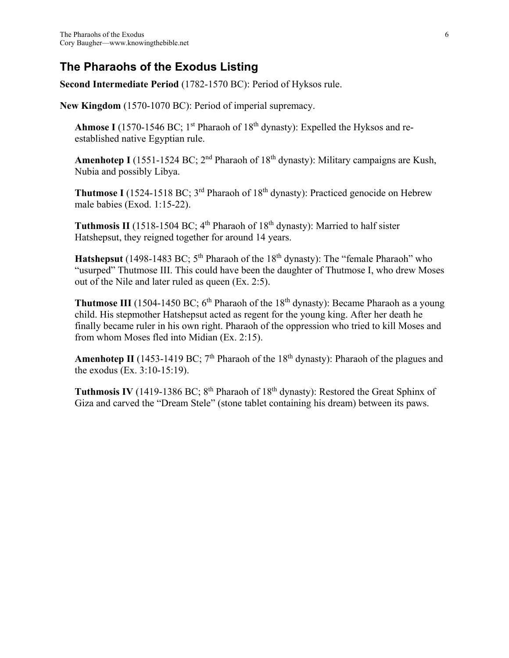## **The Pharaohs of the Exodus Listing**

**Second Intermediate Period** (1782-1570 BC): Period of Hyksos rule.

**New Kingdom** (1570-1070 BC): Period of imperial supremacy.

**Ahmose I** (1570-1546 BC; 1<sup>st</sup> Pharaoh of  $18<sup>th</sup>$  dynasty): Expelled the Hyksos and reestablished native Egyptian rule.

Amenhotep I (1551-1524 BC; 2<sup>nd</sup> Pharaoh of 18<sup>th</sup> dynasty): Military campaigns are Kush, Nubia and possibly Libya.

**Thutmose I** (1524-1518 BC; 3<sup>rd</sup> Pharaoh of 18<sup>th</sup> dynasty): Practiced genocide on Hebrew male babies (Exod. 1:15-22).

**Tuthmosis II** (1518-1504 BC;  $4<sup>th</sup>$  Pharaoh of 18<sup>th</sup> dynasty): Married to half sister Hatshepsut, they reigned together for around 14 years.

**Hatshepsut** (1498-1483 BC;  $5<sup>th</sup>$  Pharaoh of the 18<sup>th</sup> dynasty): The "female Pharaoh" who "usurped" Thutmose III. This could have been the daughter of Thutmose I, who drew Moses out of the Nile and later ruled as queen (Ex. 2:5).

**Thutmose III** (1504-1450 BC;  $6<sup>th</sup>$  Pharaoh of the 18<sup>th</sup> dynasty): Became Pharaoh as a young child. His stepmother Hatshepsut acted as regent for the young king. After her death he finally became ruler in his own right. Pharaoh of the oppression who tried to kill Moses and from whom Moses fled into Midian (Ex. 2:15).

**Amenhotep II** (1453-1419 BC;  $7<sup>th</sup>$  Pharaoh of the 18<sup>th</sup> dynasty): Pharaoh of the plagues and the exodus (Ex. 3:10-15:19).

**Tuthmosis IV** (1419-1386 BC;  $8^{th}$  Pharaoh of  $18^{th}$  dynasty): Restored the Great Sphinx of Giza and carved the "Dream Stele" (stone tablet containing his dream) between its paws.